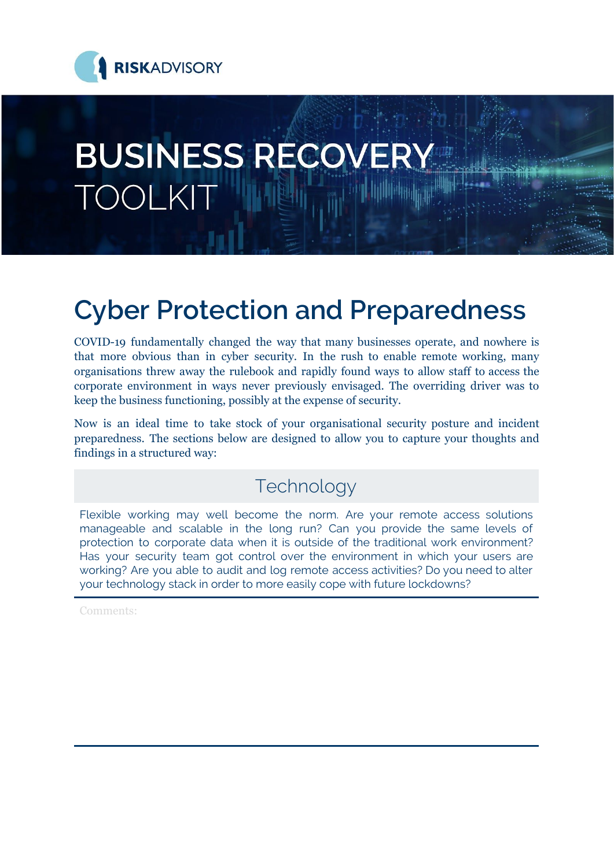

# **BUSINESS RECOVERY TOOLKIT**

## **Cyber Protection and Preparedness**

COVID-19 fundamentally changed the way that many businesses operate, and nowhere is that more obvious than in cyber security. In the rush to enable remote working, many organisations threw away the rulebook and rapidly found ways to allow staff to access the corporate environment in ways never previously envisaged. The overriding driver was to keep the business functioning, possibly at the expense of security.

Now is an ideal time to take stock of your organisational security posture and incident preparedness. The sections below are designed to allow you to capture your thoughts and findings in a structured way:

#### Technology

Flexible working may well become the norm. Are your remote access solutions manageable and scalable in the long run? Can you provide the same levels of protection to corporate data when it is outside of the traditional work environment? Has your security team got control over the environment in which your users are working? Are you able to audit and log remote access activities? Do you need to alter your technology stack in order to more easily cope with future lockdowns?

Comments: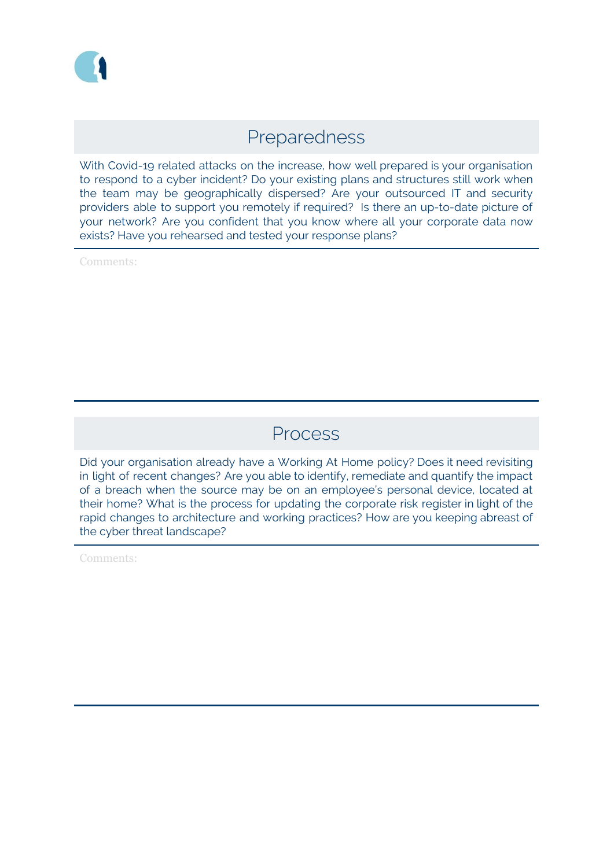#### Preparedness

With Covid-19 related attacks on the increase, how well prepared is your organisation to respond to a cyber incident? Do your existing plans and structures still work when the team may be geographically dispersed? Are your outsourced IT and security providers able to support you remotely if required? Is there an up-to-date picture of your network? Are you confident that you know where all your corporate data now exists? Have you rehearsed and tested your response plans?

Comments:

#### Process

Did your organisation already have a Working At Home policy? Does it need revisiting in light of recent changes? Are you able to identify, remediate and quantify the impact of a breach when the source may be on an employee's personal device, located at their home? What is the process for updating the corporate risk register in light of the rapid changes to architecture and working practices? How are you keeping abreast of the cyber threat landscape?

Comments: